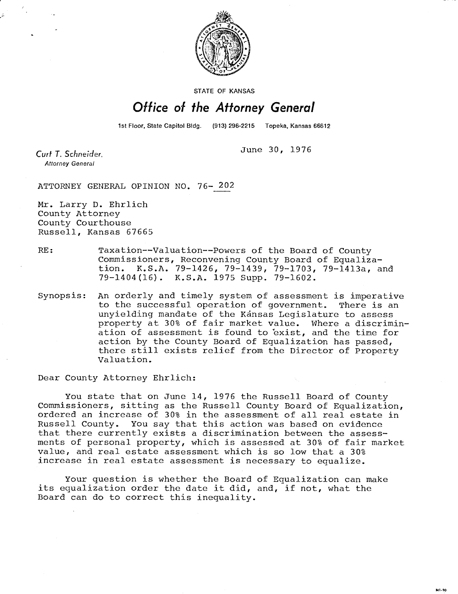

STATE OF KANSAS

## Office of the Attorney General

1st Floor, State Capitol Bldg. (913) 296-2215 Topeka, Kansas 66612

June 30, 1976

Curt T. Schneider. **Attorney General** 

ATTORNEY GENERAL OPINION NO. 76- 202

Mr. Larry D. Ehrlich County Attorney County Courthouse Russell, Kansas 67665

RE: Taxation--Valuation--Powers of the Board of County Commissioners, Reconvening County Board of Equalization. K.S.A. 79-1426, 79-1439, 79-1703, 79-1413a, and 79-1404(16). K.S.A. 1975 Supp. 79-1602.

Synopsis: An orderly and timely system of assessment is imperative to the successful operation of government. There is an unyielding mandate of the Kansas Legislature to assess property at 30% of fair market value. Where a discrimination of assessment is found to exist, and the time for action by the County Board of Equalization has passed, there still exists relief from the Director of Property Valuation.

Dear County Attorney Ehrlich:

You state that on June 14, 1976 the Russell Board of County Commissioners, sitting as the Russell County Board of Equalization, ordered an increase of 30% in the assessment of all real estate in Russell County. You say that this action was based on evidence that there currently exists a discrimination between the assessments of personal property, which is assessed at 30% of fair market value, and real estate assessment which is so low that a 30% increase in real estate assessment is necessary to equalize.

Your question is whether the Board of Equalization can make its equalization order the date it did, and, if not, what the Board can do to correct this inequality.